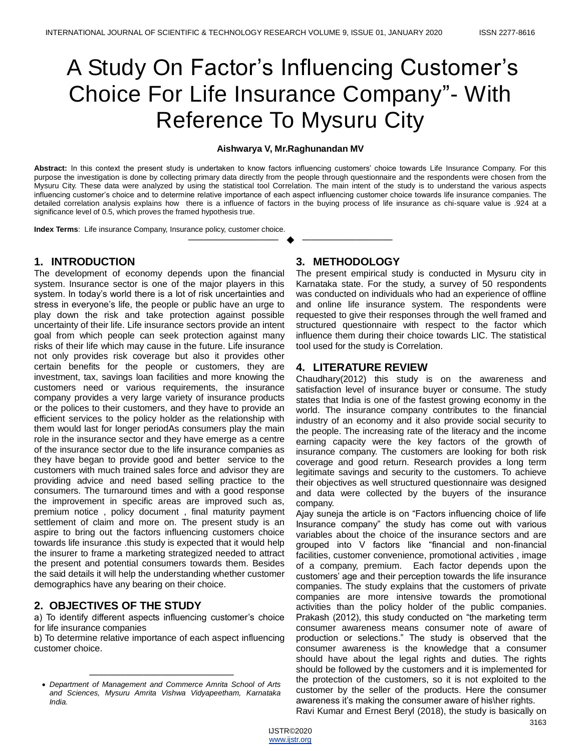# A Study On Factor's Influencing Customer's Choice For Life Insurance Company"- With Reference To Mysuru City

#### **Aishwarya V, Mr.Raghunandan MV**

**Abstract:** In this context the present study is undertaken to know factors influencing customers' choice towards Life Insurance Company. For this purpose the investigation is done by collecting primary data directly from the people through questionnaire and the respondents were chosen from the Mysuru City. These data were analyzed by using the statistical tool Correlation. The main intent of the study is to understand the various aspects influencing customer's choice and to determine relative importance of each aspect influencing customer choice towards life insurance companies. The detailed correlation analysis explains how there is a influence of factors in the buying process of life insurance as chi-square value is .924 at a significance level of 0.5, which proves the framed hypothesis true.

—————————— ——————————

**Index Terms**: Life insurance Company, Insurance policy, customer choice.

## **1. INTRODUCTION**

The development of economy depends upon the financial system. Insurance sector is one of the major players in this system. In today's world there is a lot of risk uncertainties and stress in everyone's life, the people or public have an urge to play down the risk and take protection against possible uncertainty of their life. Life insurance sectors provide an intent goal from which people can seek protection against many risks of their life which may cause in the future. Life insurance not only provides risk coverage but also it provides other certain benefits for the people or customers, they are investment, tax, savings loan facilities and more knowing the customers need or various requirements, the insurance company provides a very large variety of insurance products or the polices to their customers, and they have to provide an efficient services to the policy holder as the relationship with them would last for longer periodAs consumers play the main role in the insurance sector and they have emerge as a centre of the insurance sector due to the life insurance companies as they have began to provide good and better service to the customers with much trained sales force and advisor they are providing advice and need based selling practice to the consumers. The turnaround times and with a good response the improvement in specific areas are improved such as, premium notice , policy document , final maturity payment settlement of claim and more on. The present study is an aspire to bring out the factors influencing customers choice towards life insurance .this study is expected that it would help the insurer to frame a marketing strategized needed to attract the present and potential consumers towards them. Besides the said details it will help the understanding whether customer demographics have any bearing on their choice.

## **2. OBJECTIVES OF THE STUDY**

a) To identify different aspects influencing customer's choice for life insurance companies

b) To determine relative importance of each aspect influencing customer choice.

#### **3. METHODOLOGY**

The present empirical study is conducted in Mysuru city in Karnataka state. For the study, a survey of 50 respondents was conducted on individuals who had an experience of offline and online life insurance system. The respondents were requested to give their responses through the well framed and structured questionnaire with respect to the factor which influence them during their choice towards LIC. The statistical tool used for the study is Correlation.

## **4. LITERATURE REVIEW**

Chaudhary(2012) this study is on the awareness and satisfaction level of insurance buyer or consume. The study states that India is one of the fastest growing economy in the world. The insurance company contributes to the financial industry of an economy and it also provide social security to the people. The increasing rate of the literacy and the income earning capacity were the key factors of the growth of insurance company. The customers are looking for both risk coverage and good return. Research provides a long term legitimate savings and security to the customers. To achieve their objectives as well structured questionnaire was designed and data were collected by the buyers of the insurance company.

Ajay suneja the article is on "Factors influencing choice of life Insurance company" the study has come out with various variables about the choice of the insurance sectors and are grouped into V factors like "financial and non-financial facilities, customer convenience, promotional activities , image of a company, premium. Each factor depends upon the customers' age and their perception towards the life insurance companies. The study explains that the customers of private companies are more intensive towards the promotional activities than the policy holder of the public companies. Prakash (2012), this study conducted on "the marketing term consumer awareness means consumer note of aware of production or selections." The study is observed that the consumer awareness is the knowledge that a consumer should have about the legal rights and duties. The rights should be followed by the customers and it is implemented for the protection of the customers, so it is not exploited to the customer by the seller of the products. Here the consumer awareness it's making the consumer aware of his\her rights.

Ravi Kumar and Ernest Beryl (2018), the study is basically on

<sup>————————————————</sup> *Department of Management and Commerce Amrita School of Arts and Sciences, Mysuru Amrita Vishwa Vidyapeetham, Karnataka India.*